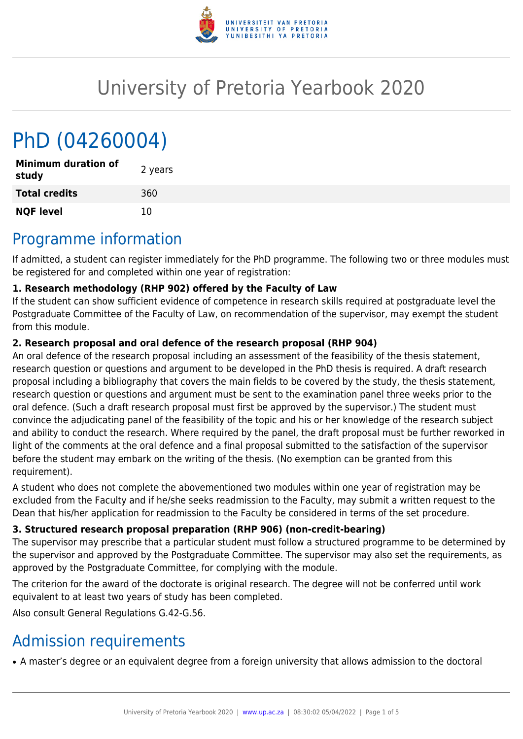

# University of Pretoria Yearbook 2020

# PhD (04260004)

| <b>Minimum duration of</b><br>study | 2 years |
|-------------------------------------|---------|
| <b>Total credits</b>                | 360     |
| <b>NQF level</b>                    | 10      |

# Programme information

If admitted, a student can register immediately for the PhD programme. The following two or three modules must be registered for and completed within one year of registration:

# **1. Research methodology (RHP 902) offered by the Faculty of Law**

If the student can show sufficient evidence of competence in research skills required at postgraduate level the Postgraduate Committee of the Faculty of Law, on recommendation of the supervisor, may exempt the student from this module.

## **2. Research proposal and oral defence of the research proposal (RHP 904)**

An oral defence of the research proposal including an assessment of the feasibility of the thesis statement, research question or questions and argument to be developed in the PhD thesis is required. A draft research proposal including a bibliography that covers the main fields to be covered by the study, the thesis statement, research question or questions and argument must be sent to the examination panel three weeks prior to the oral defence. (Such a draft research proposal must first be approved by the supervisor.) The student must convince the adjudicating panel of the feasibility of the topic and his or her knowledge of the research subject and ability to conduct the research. Where required by the panel, the draft proposal must be further reworked in light of the comments at the oral defence and a final proposal submitted to the satisfaction of the supervisor before the student may embark on the writing of the thesis. (No exemption can be granted from this requirement).

A student who does not complete the abovementioned two modules within one year of registration may be excluded from the Faculty and if he/she seeks readmission to the Faculty, may submit a written request to the Dean that his/her application for readmission to the Faculty be considered in terms of the set procedure.

# **3. Structured research proposal preparation (RHP 906) (non-credit-bearing)**

The supervisor may prescribe that a particular student must follow a structured programme to be determined by the supervisor and approved by the Postgraduate Committee. The supervisor may also set the requirements, as approved by the Postgraduate Committee, for complying with the module.

The criterion for the award of the doctorate is original research. The degree will not be conferred until work equivalent to at least two years of study has been completed.

Also consult General Regulations G.42-G.56.

# Admission requirements

• A master's degree or an equivalent degree from a foreign university that allows admission to the doctoral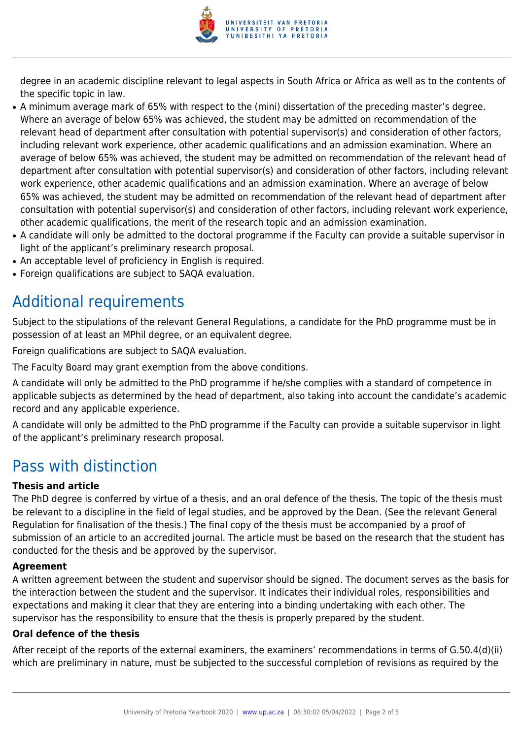

degree in an academic discipline relevant to legal aspects in South Africa or Africa as well as to the contents of the specific topic in law.

- A minimum average mark of 65% with respect to the (mini) dissertation of the preceding master's degree. Where an average of below 65% was achieved, the student may be admitted on recommendation of the relevant head of department after consultation with potential supervisor(s) and consideration of other factors, including relevant work experience, other academic qualifications and an admission examination. Where an average of below 65% was achieved, the student may be admitted on recommendation of the relevant head of department after consultation with potential supervisor(s) and consideration of other factors, including relevant work experience, other academic qualifications and an admission examination. Where an average of below 65% was achieved, the student may be admitted on recommendation of the relevant head of department after consultation with potential supervisor(s) and consideration of other factors, including relevant work experience, other academic qualifications, the merit of the research topic and an admission examination.
- A candidate will only be admitted to the doctoral programme if the Faculty can provide a suitable supervisor in light of the applicant's preliminary research proposal.
- An acceptable level of proficiency in English is required.
- Foreign qualifications are subject to SAQA evaluation.

# Additional requirements

Subject to the stipulations of the relevant General Regulations, a candidate for the PhD programme must be in possession of at least an MPhil degree, or an equivalent degree.

Foreign qualifications are subject to SAQA evaluation.

The Faculty Board may grant exemption from the above conditions.

A candidate will only be admitted to the PhD programme if he/she complies with a standard of competence in applicable subjects as determined by the head of department, also taking into account the candidate's academic record and any applicable experience.

A candidate will only be admitted to the PhD programme if the Faculty can provide a suitable supervisor in light of the applicant's preliminary research proposal.

# Pass with distinction

### **Thesis and article**

The PhD degree is conferred by virtue of a thesis, and an oral defence of the thesis. The topic of the thesis must be relevant to a discipline in the field of legal studies, and be approved by the Dean. (See the relevant General Regulation for finalisation of the thesis.) The final copy of the thesis must be accompanied by a proof of submission of an article to an accredited journal. The article must be based on the research that the student has conducted for the thesis and be approved by the supervisor.

### **Agreement**

A written agreement between the student and supervisor should be signed. The document serves as the basis for the interaction between the student and the supervisor. It indicates their individual roles, responsibilities and expectations and making it clear that they are entering into a binding undertaking with each other. The supervisor has the responsibility to ensure that the thesis is properly prepared by the student.

### **Oral defence of the thesis**

After receipt of the reports of the external examiners, the examiners' recommendations in terms of G.50.4(d)(ii) which are preliminary in nature, must be subjected to the successful completion of revisions as required by the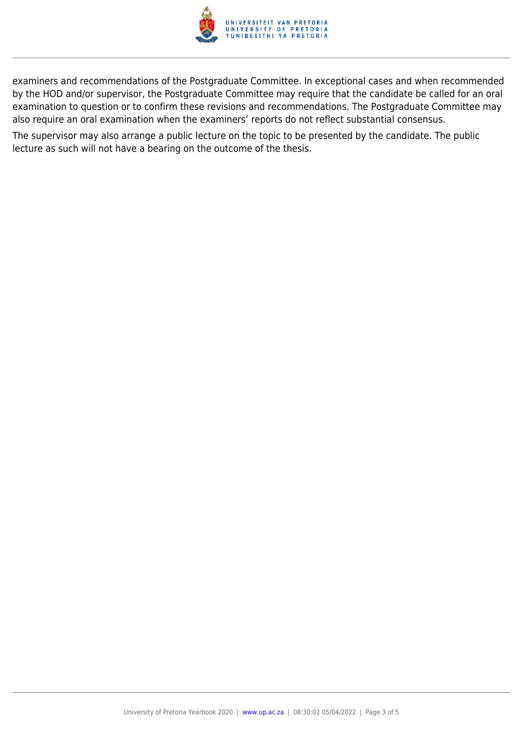

examiners and recommendations of the Postgraduate Committee. In exceptional cases and when recommended by the HOD and/or supervisor, the Postgraduate Committee may require that the candidate be called for an oral examination to question or to confirm these revisions and recommendations. The Postgraduate Committee may also require an oral examination when the examiners' reports do not reflect substantial consensus.

The supervisor may also arrange a public lecture on the topic to be presented by the candidate. The public lecture as such will not have a bearing on the outcome of the thesis.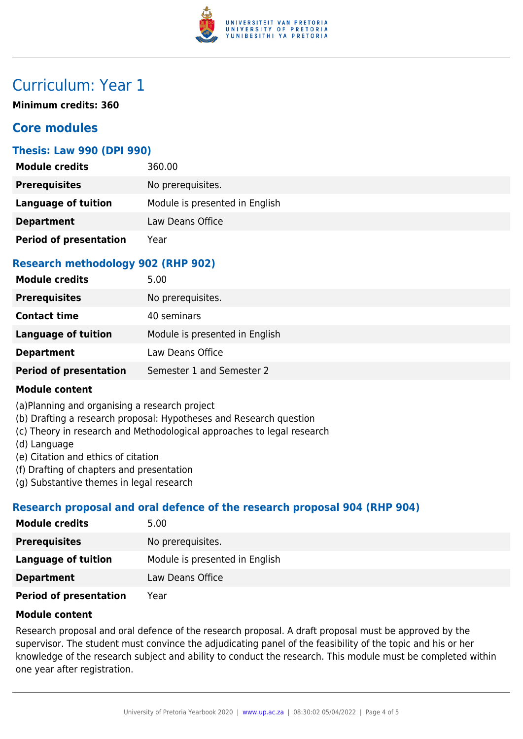

# Curriculum: Year 1

**Minimum credits: 360**

# **Core modules**

## **Thesis: Law 990 (DPI 990)**

| <b>Module credits</b>         | 360.00                         |
|-------------------------------|--------------------------------|
| <b>Prerequisites</b>          | No prerequisites.              |
| Language of tuition           | Module is presented in English |
| <b>Department</b>             | Law Deans Office               |
| <b>Period of presentation</b> | Year                           |

# **Research methodology 902 (RHP 902)**

| <b>Module credits</b>         | 5.00                           |
|-------------------------------|--------------------------------|
| <b>Prerequisites</b>          | No prerequisites.              |
| <b>Contact time</b>           | 40 seminars                    |
| <b>Language of tuition</b>    | Module is presented in English |
| <b>Department</b>             | Law Deans Office               |
| <b>Period of presentation</b> | Semester 1 and Semester 2      |

### **Module content**

(a)Planning and organising a research project

- (b) Drafting a research proposal: Hypotheses and Research question
- (c) Theory in research and Methodological approaches to legal research
- (d) Language
- (e) Citation and ethics of citation
- (f) Drafting of chapters and presentation
- (g) Substantive themes in legal research

# **Research proposal and oral defence of the research proposal 904 (RHP 904)**

| <b>Module credits</b>  | 5.00                           |
|------------------------|--------------------------------|
| <b>Prerequisites</b>   | No prerequisites.              |
| Language of tuition    | Module is presented in English |
| <b>Department</b>      | Law Deans Office               |
| Doriad of procontation | Voor                           |

**Period of presentation** Year

## **Module content**

Research proposal and oral defence of the research proposal. A draft proposal must be approved by the supervisor. The student must convince the adjudicating panel of the feasibility of the topic and his or her knowledge of the research subject and ability to conduct the research. This module must be completed within one year after registration.